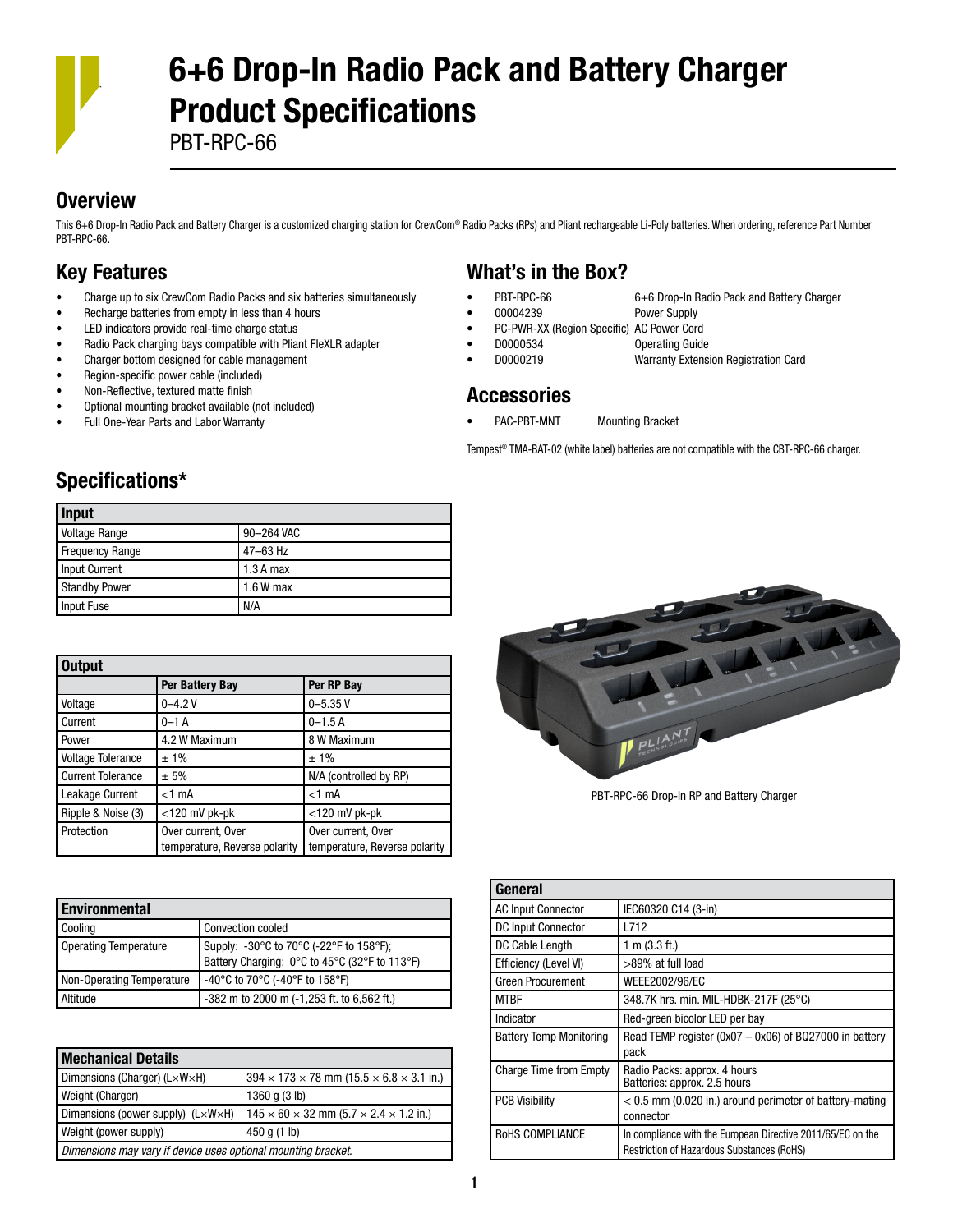

# 6+6 Drop-In Radio Pack and Battery Charger Product Specifications

PBT-RPC-66

#### **Overview**

This 6+6 Drop-In Radio Pack and Battery Charger is a customized charging station for CrewCom® Radio Packs (RPs) and Pliant rechargeable Li-Poly batteries. When ordering, reference Part Number PBT-RPC-66.

### Key Features

- Charge up to six CrewCom Radio Packs and six batteries simultaneously
- Recharge batteries from empty in less than 4 hours
- LED indicators provide real-time charge status
- Radio Pack charging bays compatible with Pliant FleXLR adapter
- Charger bottom designed for cable management
- Region-specific power cable (included)
- Non-Reflective, textured matte finish
- Optional mounting bracket available (not included)
- Full One-Year Parts and Labor Warranty

### What's in the Box?

- PBT-RPC-66 6+6 Drop-In Radio Pack and Battery Charger
- 00004239 Power Supply
	-
- PC-PWR-XX (Region Specific) AC Power Cord
- D0000534 Operating Guide
- D0000219 Warranty Extension Registration Card

#### Accessories

PAC-PBT-MNT Mounting Bracket

Tempest® TMA-BAT-02 (white label) batteries are not compatible with the CBT-RPC-66 charger.

## Specifications\*

| Input                |             |
|----------------------|-------------|
| <b>Voltage Range</b> | 90-264 VAC  |
| Frequency Range      | 47-63 Hz    |
| Input Current        | $1.3A$ max  |
| <b>Standby Power</b> | $1.6 W$ max |
| Input Fuse           | N/A         |

| <b>Output</b>            |                               |                               |
|--------------------------|-------------------------------|-------------------------------|
|                          | Per Battery Bay               | Per RP Bay                    |
| Voltage                  | $0 - 4.2V$                    | $0 - 5.35V$                   |
| Current                  | $0 - 1$ A                     | $0 - 1.5A$                    |
| Power                    | 4.2 W Maximum                 | 8 W Maximum                   |
| <b>Voltage Tolerance</b> | ±1%                           | $±1\%$                        |
| <b>Current Tolerance</b> | ± 5%                          | N/A (controlled by RP)        |
| Leakage Current          | $<$ 1 mA                      | $<1$ mA                       |
| Ripple & Noise (3)       | $<$ 120 mV pk-pk              | $<$ 120 mV pk-pk              |
| Protection               | Over current, Over            | Over current, Over            |
|                          | temperature, Reverse polarity | temperature, Reverse polarity |

| <b>Environmental</b>         |                                                |
|------------------------------|------------------------------------------------|
| Cooling                      | <b>Convection cooled</b>                       |
| <b>Operating Temperature</b> | Supply: -30°C to 70°C (-22°F to 158°F);        |
|                              | Battery Charging: 0°C to 45°C (32°F to 113°F)  |
| Non-Operating Temperature    | -40°C to 70°C (-40°F to 158°F)                 |
| Altitude                     | $-382$ m to 2000 m $(-1,253$ ft. to 6,562 ft.) |

| <b>Mechanical Details</b>                                                                                             |                                                                    |  |
|-----------------------------------------------------------------------------------------------------------------------|--------------------------------------------------------------------|--|
| Dimensions (Charger) (L×W×H)                                                                                          | $394 \times 173 \times 78$ mm (15.5 $\times$ 6.8 $\times$ 3.1 in.) |  |
| Weight (Charger)                                                                                                      | 1360 q (3 lb)                                                      |  |
| Dimensions (power supply) $(L \times W \times H)$<br>$145 \times 60 \times 32$ mm (5.7 $\times$ 2.4 $\times$ 1.2 in.) |                                                                    |  |
| Weight (power supply)<br>450 g $(1 \text{ lb})$                                                                       |                                                                    |  |
| Dimensions may vary if device uses optional mounting bracket.                                                         |                                                                    |  |



PBT-RPC-66 Drop-In RP and Battery Charger

| General                        |                                                                                                           |
|--------------------------------|-----------------------------------------------------------------------------------------------------------|
| <b>AC Input Connector</b>      | IEC60320 C14 (3-in)                                                                                       |
| <b>DC Input Connector</b>      | L712                                                                                                      |
| DC Cable Length                | 1 m $(3.3 ft.)$                                                                                           |
| Efficiency (Level VI)          | >89% at full load                                                                                         |
| <b>Green Procurement</b>       | WEEE2002/96/EC                                                                                            |
| <b>MTBF</b>                    | 348.7K hrs. min. MIL-HDBK-217F (25°C)                                                                     |
| Indicator                      | Red-green bicolor LED per bay                                                                             |
| <b>Battery Temp Monitoring</b> | Read TEMP register ( $0x07 - 0x06$ ) of BQ27000 in battery<br>pack                                        |
| <b>Charge Time from Empty</b>  | Radio Packs: approx. 4 hours<br>Batteries: approx. 2.5 hours                                              |
| <b>PCB Visibility</b>          | $<$ 0.5 mm (0.020 in.) around perimeter of battery-mating<br>connector                                    |
| ROHS COMPLIANCE                | In compliance with the European Directive 2011/65/EC on the<br>Restriction of Hazardous Substances (RoHS) |